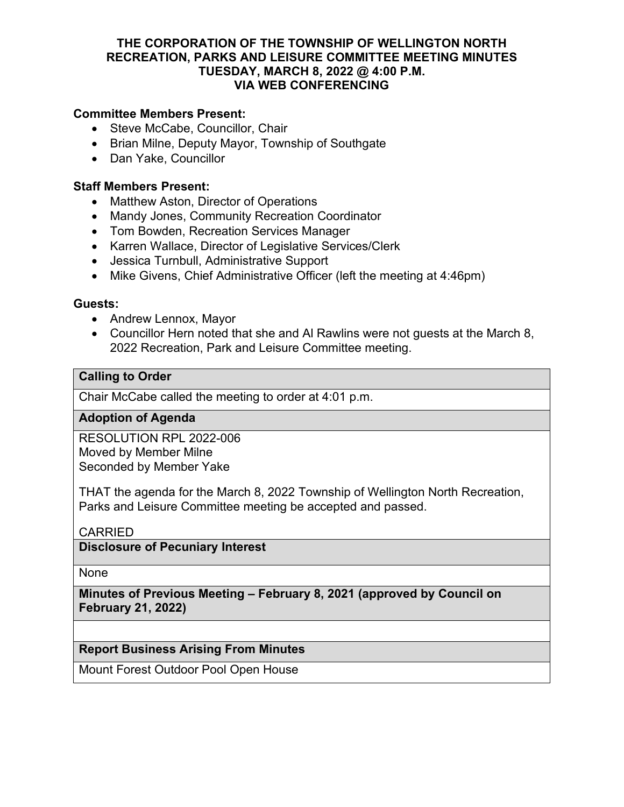## **THE CORPORATION OF THE TOWNSHIP OF WELLINGTON NORTH RECREATION, PARKS AND LEISURE COMMITTEE MEETING MINUTES TUESDAY, MARCH 8, 2022 @ 4:00 P.M. VIA WEB CONFERENCING**

## **Committee Members Present:**

- Steve McCabe, Councillor, Chair
- Brian Milne, Deputy Mayor, Township of Southgate
- Dan Yake, Councillor

### **Staff Members Present:**

- Matthew Aston, Director of Operations
- Mandy Jones, Community Recreation Coordinator
- Tom Bowden, Recreation Services Manager
- Karren Wallace, Director of Legislative Services/Clerk
- Jessica Turnbull, Administrative Support
- Mike Givens, Chief Administrative Officer (left the meeting at 4:46pm)

#### **Guests:**

- Andrew Lennox, Mayor
- Councillor Hern noted that she and Al Rawlins were not guests at the March 8, 2022 Recreation, Park and Leisure Committee meeting.

## **Calling to Order**

Chair McCabe called the meeting to order at 4:01 p.m.

## **Adoption of Agenda**

RESOLUTION RPL 2022-006 Moved by Member Milne Seconded by Member Yake

THAT the agenda for the March 8, 2022 Township of Wellington North Recreation, Parks and Leisure Committee meeting be accepted and passed.

## CARRIED

**Disclosure of Pecuniary Interest**

None

**Minutes of Previous Meeting – February 8, 2021 (approved by Council on February 21, 2022)**

## **Report Business Arising From Minutes**

Mount Forest Outdoor Pool Open House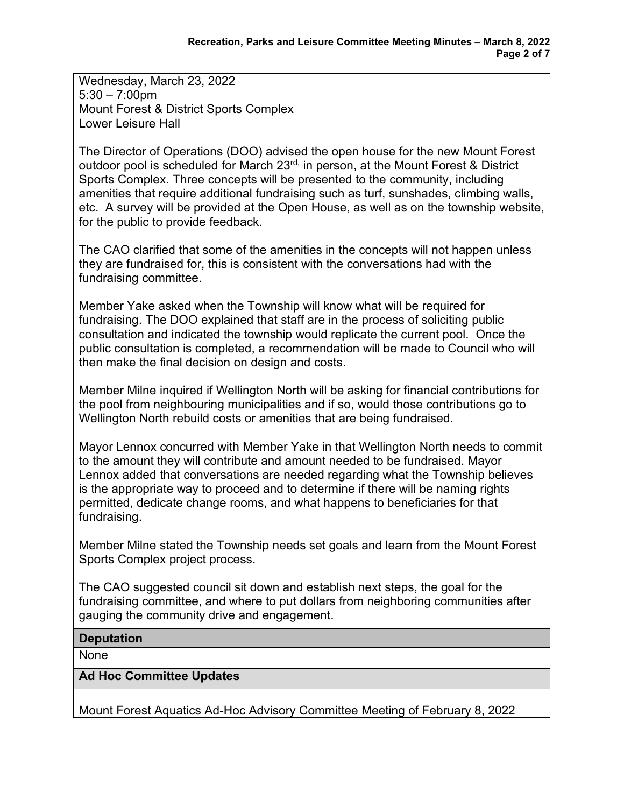Wednesday, March 23, 2022 5:30 – 7:00pm Mount Forest & District Sports Complex Lower Leisure Hall

The Director of Operations (DOO) advised the open house for the new Mount Forest outdoor pool is scheduled for March 23<sup>rd,</sup> in person, at the Mount Forest & District Sports Complex. Three concepts will be presented to the community, including amenities that require additional fundraising such as turf, sunshades, climbing walls, etc. A survey will be provided at the Open House, as well as on the township website, for the public to provide feedback.

The CAO clarified that some of the amenities in the concepts will not happen unless they are fundraised for, this is consistent with the conversations had with the fundraising committee.

Member Yake asked when the Township will know what will be required for fundraising. The DOO explained that staff are in the process of soliciting public consultation and indicated the township would replicate the current pool. Once the public consultation is completed, a recommendation will be made to Council who will then make the final decision on design and costs.

Member Milne inquired if Wellington North will be asking for financial contributions for the pool from neighbouring municipalities and if so, would those contributions go to Wellington North rebuild costs or amenities that are being fundraised.

Mayor Lennox concurred with Member Yake in that Wellington North needs to commit to the amount they will contribute and amount needed to be fundraised. Mayor Lennox added that conversations are needed regarding what the Township believes is the appropriate way to proceed and to determine if there will be naming rights permitted, dedicate change rooms, and what happens to beneficiaries for that fundraising.

Member Milne stated the Township needs set goals and learn from the Mount Forest Sports Complex project process.

The CAO suggested council sit down and establish next steps, the goal for the fundraising committee, and where to put dollars from neighboring communities after gauging the community drive and engagement.

## **Deputation**

None

#### **Ad Hoc Committee Updates**

Mount Forest Aquatics Ad-Hoc Advisory Committee Meeting of February 8, 2022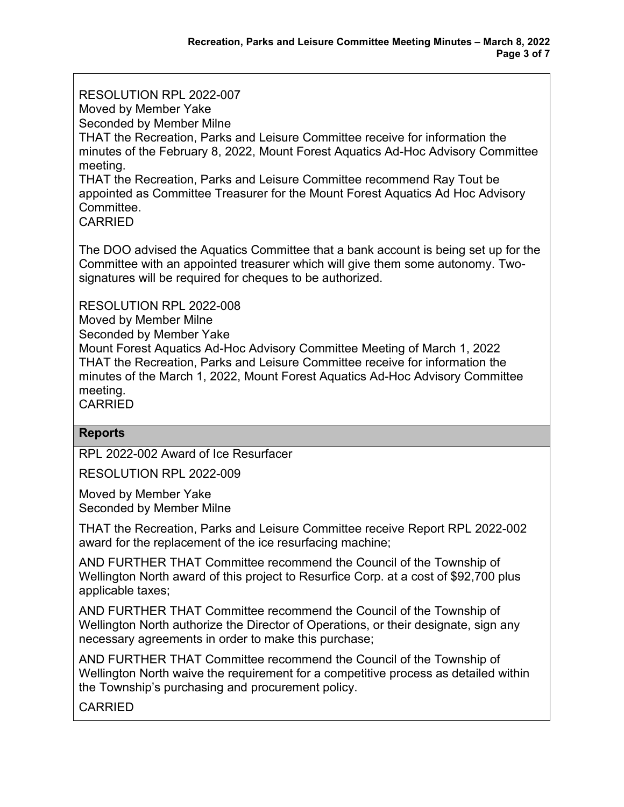RESOLUTION RPL 2022-007 Moved by Member Yake Seconded by Member Milne THAT the Recreation, Parks and Leisure Committee receive for information the minutes of the February 8, 2022, Mount Forest Aquatics Ad-Hoc Advisory Committee meeting. THAT the Recreation, Parks and Leisure Committee recommend Ray Tout be appointed as Committee Treasurer for the Mount Forest Aquatics Ad Hoc Advisory Committee.

CARRIED

The DOO advised the Aquatics Committee that a bank account is being set up for the Committee with an appointed treasurer which will give them some autonomy. Twosignatures will be required for cheques to be authorized.

RESOLUTION RPL 2022-008

Moved by Member Milne

Seconded by Member Yake

Mount Forest Aquatics Ad-Hoc Advisory Committee Meeting of March 1, 2022 THAT the Recreation, Parks and Leisure Committee receive for information the minutes of the March 1, 2022, Mount Forest Aquatics Ad-Hoc Advisory Committee meeting.

**CARRIED** 

## **Reports**

RPL 2022-002 Award of Ice Resurfacer

RESOLUTION RPL 2022-009

Moved by Member Yake Seconded by Member Milne

THAT the Recreation, Parks and Leisure Committee receive Report RPL 2022-002 award for the replacement of the ice resurfacing machine;

AND FURTHER THAT Committee recommend the Council of the Township of Wellington North award of this project to Resurfice Corp. at a cost of \$92,700 plus applicable taxes;

AND FURTHER THAT Committee recommend the Council of the Township of Wellington North authorize the Director of Operations, or their designate, sign any necessary agreements in order to make this purchase;

AND FURTHER THAT Committee recommend the Council of the Township of Wellington North waive the requirement for a competitive process as detailed within the Township's purchasing and procurement policy.

CARRIED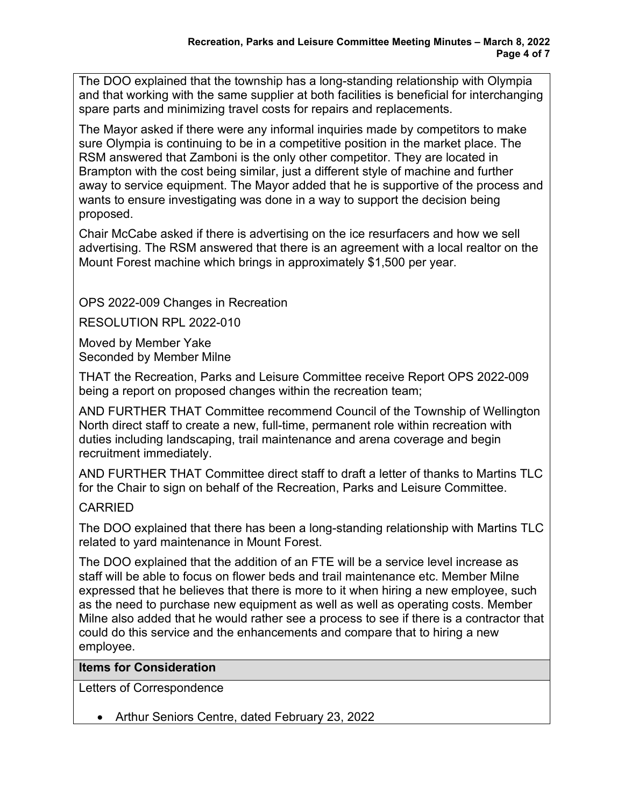The DOO explained that the township has a long-standing relationship with Olympia and that working with the same supplier at both facilities is beneficial for interchanging spare parts and minimizing travel costs for repairs and replacements.

The Mayor asked if there were any informal inquiries made by competitors to make sure Olympia is continuing to be in a competitive position in the market place. The RSM answered that Zamboni is the only other competitor. They are located in Brampton with the cost being similar, just a different style of machine and further away to service equipment. The Mayor added that he is supportive of the process and wants to ensure investigating was done in a way to support the decision being proposed.

Chair McCabe asked if there is advertising on the ice resurfacers and how we sell advertising. The RSM answered that there is an agreement with a local realtor on the Mount Forest machine which brings in approximately \$1,500 per year.

OPS 2022-009 Changes in Recreation

RESOLUTION RPL 2022-010

Moved by Member Yake Seconded by Member Milne

THAT the Recreation, Parks and Leisure Committee receive Report OPS 2022-009 being a report on proposed changes within the recreation team;

AND FURTHER THAT Committee recommend Council of the Township of Wellington North direct staff to create a new, full-time, permanent role within recreation with duties including landscaping, trail maintenance and arena coverage and begin recruitment immediately.

AND FURTHER THAT Committee direct staff to draft a letter of thanks to Martins TLC for the Chair to sign on behalf of the Recreation, Parks and Leisure Committee.

# CARRIED

The DOO explained that there has been a long-standing relationship with Martins TLC related to yard maintenance in Mount Forest.

The DOO explained that the addition of an FTE will be a service level increase as staff will be able to focus on flower beds and trail maintenance etc. Member Milne expressed that he believes that there is more to it when hiring a new employee, such as the need to purchase new equipment as well as well as operating costs. Member Milne also added that he would rather see a process to see if there is a contractor that could do this service and the enhancements and compare that to hiring a new employee.

# **Items for Consideration**

Letters of Correspondence

• Arthur Seniors Centre, dated February 23, 2022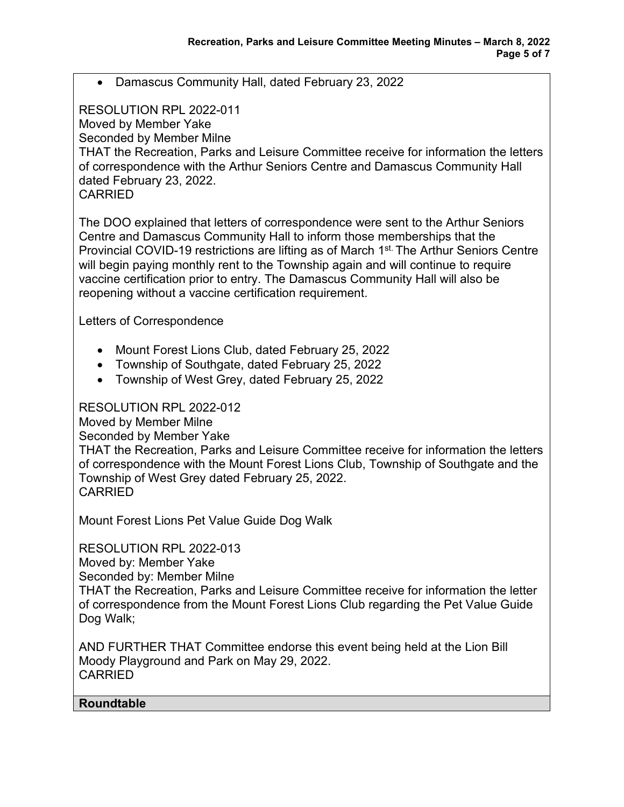• Damascus Community Hall, dated February 23, 2022

## RESOLUTION RPL 2022-011

Moved by Member Yake

Seconded by Member Milne

THAT the Recreation, Parks and Leisure Committee receive for information the letters of correspondence with the Arthur Seniors Centre and Damascus Community Hall dated February 23, 2022.

CARRIED

The DOO explained that letters of correspondence were sent to the Arthur Seniors Centre and Damascus Community Hall to inform those memberships that the Provincial COVID-19 restrictions are lifting as of March 1<sup>st.</sup> The Arthur Seniors Centre will begin paying monthly rent to the Township again and will continue to require vaccine certification prior to entry. The Damascus Community Hall will also be reopening without a vaccine certification requirement.

Letters of Correspondence

- Mount Forest Lions Club, dated February 25, 2022
- Township of Southgate, dated February 25, 2022
- Township of West Grey, dated February 25, 2022

RESOLUTION RPL 2022-012

Moved by Member Milne

Seconded by Member Yake

THAT the Recreation, Parks and Leisure Committee receive for information the letters of correspondence with the Mount Forest Lions Club, Township of Southgate and the Township of West Grey dated February 25, 2022. CARRIED

Mount Forest Lions Pet Value Guide Dog Walk

RESOLUTION RPL 2022-013

Moved by: Member Yake

Seconded by: Member Milne

THAT the Recreation, Parks and Leisure Committee receive for information the letter of correspondence from the Mount Forest Lions Club regarding the Pet Value Guide Dog Walk;

AND FURTHER THAT Committee endorse this event being held at the Lion Bill Moody Playground and Park on May 29, 2022. CARRIED

## **Roundtable**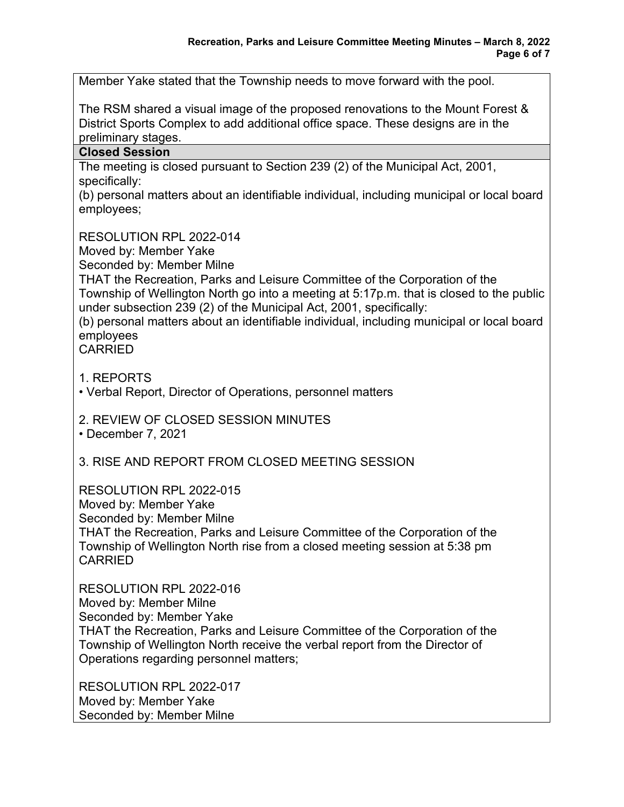Member Yake stated that the Township needs to move forward with the pool.

The RSM shared a visual image of the proposed renovations to the Mount Forest & District Sports Complex to add additional office space. These designs are in the preliminary stages.

#### **Closed Session**

The meeting is closed pursuant to Section 239 (2) of the Municipal Act, 2001, specifically:

(b) personal matters about an identifiable individual, including municipal or local board employees;

RESOLUTION RPL 2022-014

Moved by: Member Yake

Seconded by: Member Milne

THAT the Recreation, Parks and Leisure Committee of the Corporation of the Township of Wellington North go into a meeting at 5:17p.m. that is closed to the public under subsection 239 (2) of the Municipal Act, 2001, specifically:

(b) personal matters about an identifiable individual, including municipal or local board employees

CARRIED

1. REPORTS

• Verbal Report, Director of Operations, personnel matters

2. REVIEW OF CLOSED SESSION MINUTES

• December 7, 2021

3. RISE AND REPORT FROM CLOSED MEETING SESSION

RESOLUTION RPL 2022-015

Moved by: Member Yake

Seconded by: Member Milne

THAT the Recreation, Parks and Leisure Committee of the Corporation of the Township of Wellington North rise from a closed meeting session at 5:38 pm CARRIED

RESOLUTION RPL 2022-016 Moved by: Member Milne Seconded by: Member Yake THAT the Recreation, Parks and Leisure Committee of the Corporation of the Township of Wellington North receive the verbal report from the Director of Operations regarding personnel matters;

RESOLUTION RPL 2022-017 Moved by: Member Yake Seconded by: Member Milne